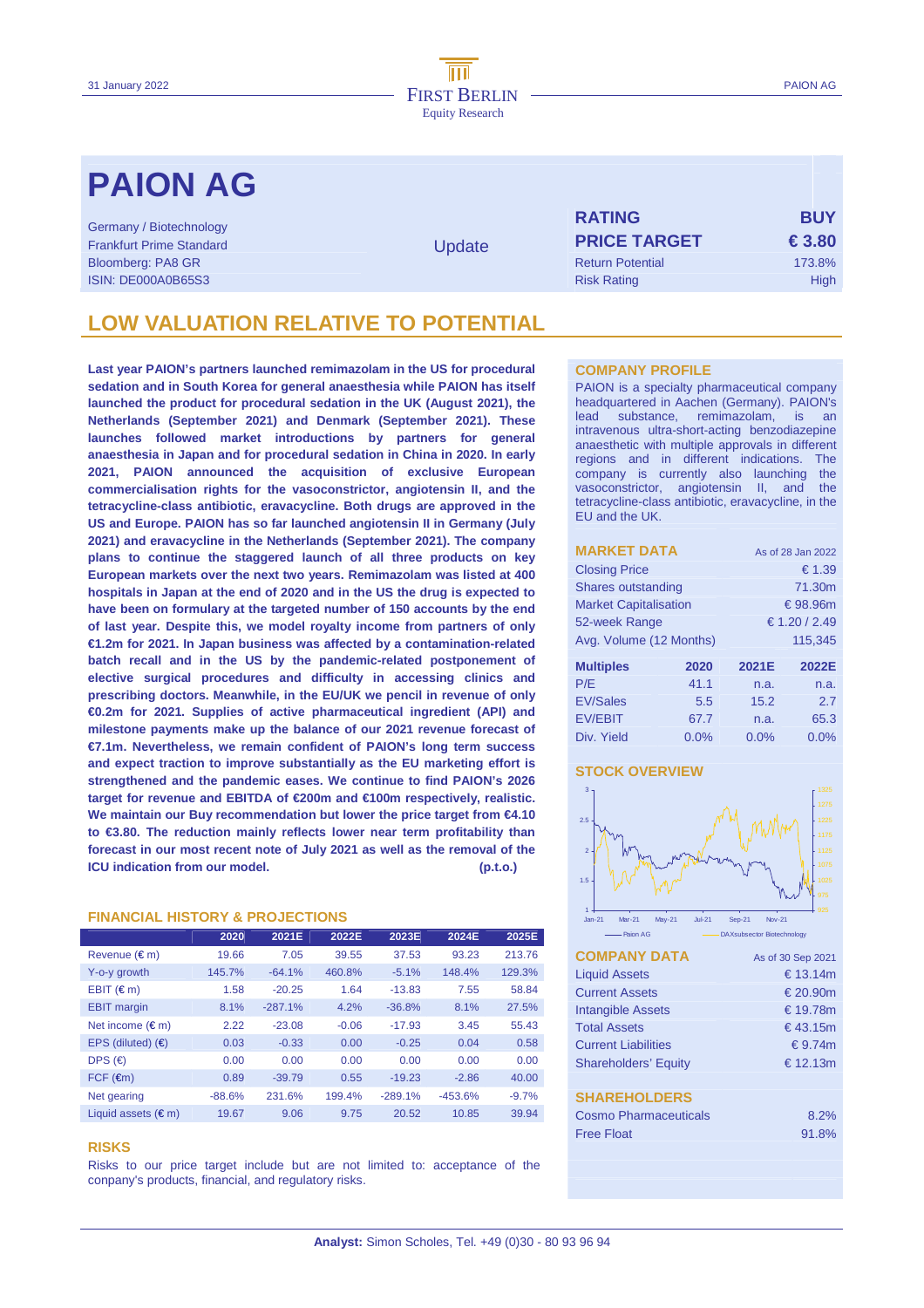# **PAION AG** <sup>P</sup>

Germany / Biotechnology Frankfurt Prime Standard Bloomberg: PA8 GR ISIN: DE000A0B65S3

**Update** 

| <b>RATING</b>           | <b>BUY</b>      |
|-------------------------|-----------------|
| <b>PRICE TARGET</b>     | $\epsilon$ 3.80 |
| <b>Return Potential</b> | 173.8%          |
| <b>Risk Rating</b>      | High            |

## **LOW VALUATION RELATIVE TO POTENTIAL**

**Last year PAION's partners launched remimazolam in the US for procedural sedation and in South Korea for general anaesthesia while PAION has itself launched the product for procedural sedation in the UK (August 2021), the Netherlands (September 2021) and Denmark (September 2021). These launches followed market introductions by partners for general anaesthesia in Japan and for procedural sedation in China in 2020. In early 2021, PAION announced the acquisition of exclusive European commercialisation rights for the vasoconstrictor, angiotensin II, and the tetracycline-class antibiotic, eravacycline. Both drugs are approved in the US and Europe. PAION has so far launched angiotensin II in Germany (July 2021) and eravacycline in the Netherlands (September 2021). The company plans to continue the staggered launch of all three products on key European markets over the next two years. Remimazolam was listed at 400 hospitals in Japan at the end of 2020 and in the US the drug is expected to have been on formulary at the targeted number of 150 accounts by the end of last year. Despite this, we model royalty income from partners of only €1.2m for 2021. In Japan business was affected by a contamination-related batch recall and in the US by the pandemic-related postponement of elective surgical procedures and difficulty in accessing clinics and prescribing doctors. Meanwhile, in the EU/UK we pencil in revenue of only €0.2m for 2021. Supplies of active pharmaceutical ingredient (API) and milestone payments make up the balance of our 2021 revenue forecast of €7.1m. Nevertheless, we remain confident of PAION's long term success and expect traction to improve substantially as the EU marketing effort is strengthened and the pandemic eases. We continue to find PAION's 2026 target for revenue and EBITDA of €200m and €100m respectively, realistic. We maintain our Buy recommendation but lower the price target from €4.10 to €3.80. The reduction mainly reflects lower near term profitability than forecast in our most recent note of July 2021 as well as the removal of the ICU indication from our model. (p.t.o.)**

## **FINANCIAL HISTORY & PROJECTIONS**

|                              | 2020     | 2021E     | 2022E   | 2023E     | 2024E     | 2025E   |
|------------------------------|----------|-----------|---------|-----------|-----------|---------|
| Revenue $(\epsilon m)$       | 19.66    | 7.05      | 39.55   | 37.53     | 93.23     | 213.76  |
| Y-o-y growth                 | 145.7%   | $-64.1%$  | 460.8%  | $-5.1%$   | 148.4%    | 129.3%  |
| $EBIT$ ( $\in$ m)            | 1.58     | $-20.25$  | 1.64    | $-13.83$  | 7.55      | 58.84   |
| <b>EBIT</b> margin           | 8.1%     | $-287.1%$ | 4.2%    | $-36.8%$  | 8.1%      | 27.5%   |
| Net income $(\epsilon m)$    | 2.22     | $-23.08$  | $-0.06$ | $-17.93$  | 3.45      | 55.43   |
| EPS (diluted) $(6)$          | 0.03     | $-0.33$   | 0.00    | $-0.25$   | 0.04      | 0.58    |
| DPS $(\epsilon)$             | 0.00     | 0.00      | 0.00    | 0.00      | 0.00      | 0.00    |
| $FCF$ ( $\epsilon$ m)        | 0.89     | $-39.79$  | 0.55    | $-19.23$  | $-2.86$   | 40.00   |
| Net gearing                  | $-88.6%$ | 231.6%    | 199.4%  | $-289.1%$ | $-453.6%$ | $-9.7%$ |
| Liquid assets $(\epsilon m)$ | 19.67    | 9.06      | 9.75    | 20.52     | 10.85     | 39.94   |

### **RISKS**

Risks to our price target include but are not limited to: acceptance of the conpany's products, financial, and regulatory risks.

## **COMPANY PROFILE**

PAION is a specialty pharmaceutical company headquartered in Aachen (Germany). PAION's lead substance, remimazolam, is an intravenous ultra-short-acting benzodiazepine anaesthetic with multiple approvals in different regions and in different indications. The company is currently also launching the vasoconstrictor, angiotensin II, and the tetracycline-class antibiotic, eravacycline, in the EU and the UK.

| <b>MARKET DATA</b>           |      | As of 28 Jan 2022 |          |
|------------------------------|------|-------------------|----------|
| <b>Closing Price</b>         |      |                   | € 1.39   |
| Shares outstanding           |      |                   | 71.30m   |
| <b>Market Capitalisation</b> |      |                   | € 98.96m |
| 52-week Range                |      | € 1.20 / 2.49     |          |
| Avg. Volume (12 Months)      |      | 115.345           |          |
| <b>Multiples</b>             | 2020 | 2021E             | 2022E    |
| P/E                          | 41.1 | n.a.              | n.a.     |
| <b>EV/Sales</b>              | 5.5  | 15.2              | 2.7      |
| <b>EV/EBIT</b>               | 67.7 | n.a.              | 65.3     |
| Div. Yield                   | 0.0% | 0.0%              | 0.0%     |

### **STOCK OVERVIEW**



| – РИКЛ АЧ                    | DRASUDS BCTOL DIDIGCHITORIA |
|------------------------------|-----------------------------|
| <b>COMPANY DATA</b>          | As of 30 Sep 2021           |
| <b>Liquid Assets</b>         | € 13.14 $m$                 |
| <b>Current Assets</b>        | € 20.90m                    |
| <b>Intangible Assets</b>     | € 19.78m                    |
| <b>Total Assets</b>          | €43.15m                     |
| <b>Current Liabilities</b>   | $\epsilon$ 9.74m            |
| <b>Shareholders' Equity</b>  | € 12.13 $m$                 |
|                              |                             |
| <b>SHAREHOLDERS</b>          |                             |
| <b>Cosmo Pharmaceuticals</b> | 8.2%                        |
| <b>Free Float</b>            | 91.8%                       |
|                              |                             |
|                              |                             |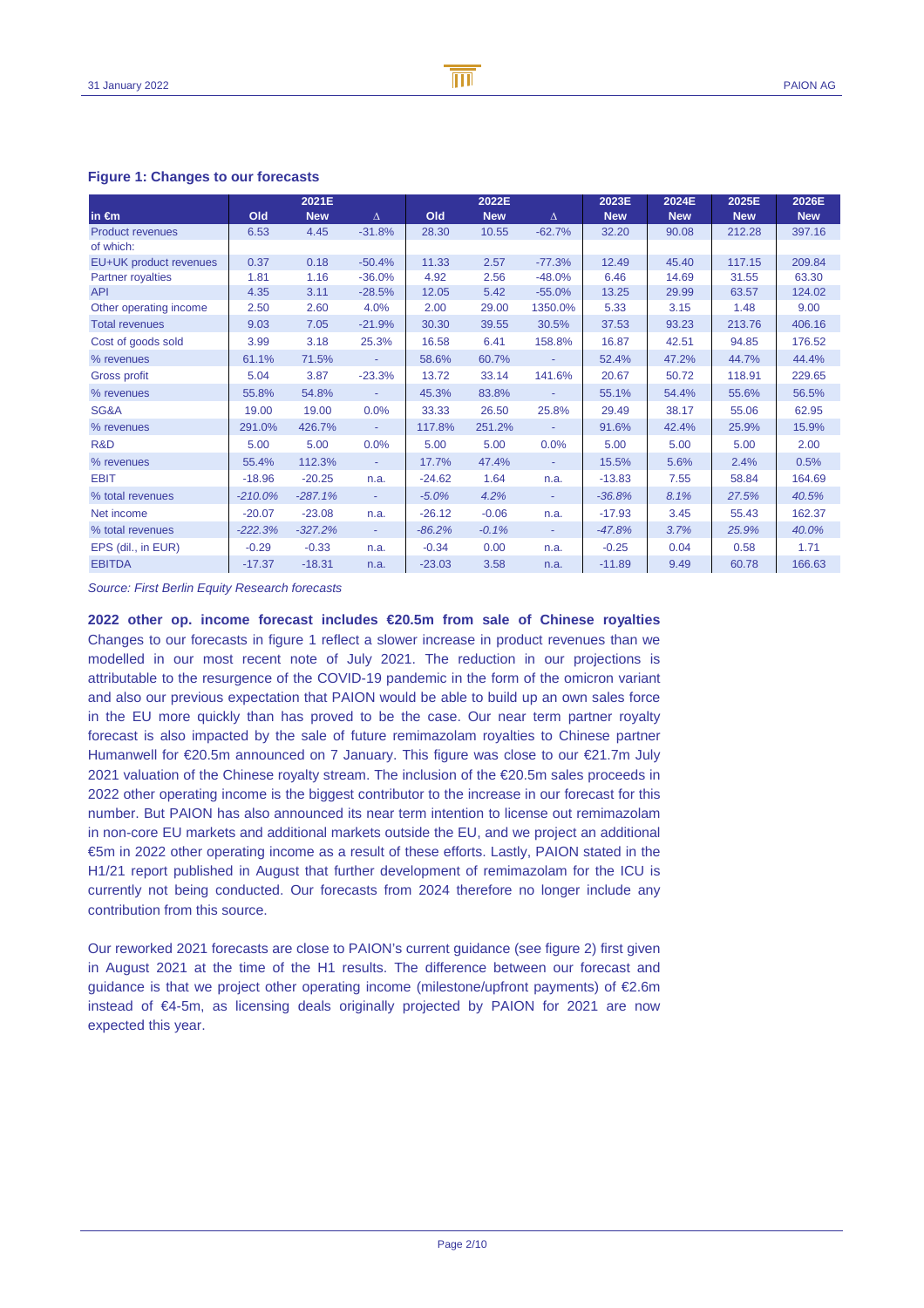## **Figure 1: Changes to our forecasts**

|                          |           | 2021E      |          |          | 2022E      |                          | 2023E      | 2024E      | 2025E      | 2026E      |
|--------------------------|-----------|------------|----------|----------|------------|--------------------------|------------|------------|------------|------------|
| in $\epsilon$ m          | Old       | <b>New</b> | $\Delta$ | Old      | <b>New</b> | Δ                        | <b>New</b> | <b>New</b> | <b>New</b> | <b>New</b> |
| <b>Product revenues</b>  | 6.53      | 4.45       | $-31.8%$ | 28.30    | 10.55      | $-62.7%$                 | 32.20      | 90.08      | 212.28     | 397.16     |
| of which:                |           |            |          |          |            |                          |            |            |            |            |
| EU+UK product revenues   | 0.37      | 0.18       | $-50.4%$ | 11.33    | 2.57       | $-77.3%$                 | 12.49      | 45.40      | 117.15     | 209.84     |
| <b>Partner royalties</b> | 1.81      | 1.16       | $-36.0%$ | 4.92     | 2.56       | $-48.0%$                 | 6.46       | 14.69      | 31.55      | 63.30      |
| <b>API</b>               | 4.35      | 3.11       | $-28.5%$ | 12.05    | 5.42       | $-55.0%$                 | 13.25      | 29.99      | 63.57      | 124.02     |
| Other operating income   | 2.50      | 2.60       | 4.0%     | 2.00     | 29.00      | 1350.0%                  | 5.33       | 3.15       | 1.48       | 9.00       |
| <b>Total revenues</b>    | 9.03      | 7.05       | $-21.9%$ | 30.30    | 39.55      | 30.5%                    | 37.53      | 93.23      | 213.76     | 406.16     |
| Cost of goods sold       | 3.99      | 3.18       | 25.3%    | 16.58    | 6.41       | 158.8%                   | 16.87      | 42.51      | 94.85      | 176.52     |
| % revenues               | 61.1%     | 71.5%      | ٠        | 58.6%    | 60.7%      | $\overline{\phantom{a}}$ | 52.4%      | 47.2%      | 44.7%      | 44.4%      |
| <b>Gross profit</b>      | 5.04      | 3.87       | $-23.3%$ | 13.72    | 33.14      | 141.6%                   | 20.67      | 50.72      | 118.91     | 229.65     |
| % revenues               | 55.8%     | 54.8%      | ٠        | 45.3%    | 83.8%      | $\blacksquare$           | 55.1%      | 54.4%      | 55.6%      | 56.5%      |
| SG&A                     | 19.00     | 19.00      | 0.0%     | 33.33    | 26.50      | 25.8%                    | 29.49      | 38.17      | 55.06      | 62.95      |
| % revenues               | 291.0%    | 426.7%     | ٠        | 117.8%   | 251.2%     | $\blacksquare$           | 91.6%      | 42.4%      | 25.9%      | 15.9%      |
| R&D                      | 5.00      | 5.00       | 0.0%     | 5.00     | 5.00       | 0.0%                     | 5.00       | 5.00       | 5.00       | 2.00       |
| % revenues               | 55.4%     | 112.3%     | ٠        | 17.7%    | 47.4%      | $\blacksquare$           | 15.5%      | 5.6%       | 2.4%       | 0.5%       |
| <b>EBIT</b>              | $-18.96$  | $-20.25$   | n.a.     | $-24.62$ | 1.64       | n.a.                     | $-13.83$   | 7.55       | 58.84      | 164.69     |
| % total revenues         | $-210.0%$ | $-287.1%$  | ٠        | $-5.0%$  | 4.2%       | $\overline{\phantom{a}}$ | $-36.8%$   | 8.1%       | 27.5%      | 40.5%      |
| Net income               | $-20.07$  | $-23.08$   | n.a.     | $-26.12$ | $-0.06$    | n.a.                     | $-17.93$   | 3.45       | 55.43      | 162.37     |
| % total revenues         | $-222.3%$ | $-327.2%$  | $\sim$   | $-86.2%$ | $-0.1%$    | $\sim$                   | $-47.8%$   | 3.7%       | 25.9%      | 40.0%      |
| EPS (dil., in EUR)       | $-0.29$   | $-0.33$    | n.a.     | $-0.34$  | 0.00       | n.a.                     | $-0.25$    | 0.04       | 0.58       | 1.71       |
| <b>EBITDA</b>            | $-17.37$  | $-18.31$   | n.a.     | $-23.03$ | 3.58       | n.a.                     | $-11.89$   | 9.49       | 60.78      | 166.63     |

Source: First Berlin Equity Research forecasts

**2022 other op. income forecast includes €20.5m from sale of Chinese royalties** Changes to our forecasts in figure 1 reflect a slower increase in product revenues than we modelled in our most recent note of July 2021. The reduction in our projections is attributable to the resurgence of the COVID-19 pandemic in the form of the omicron variant and also our previous expectation that PAION would be able to build up an own sales force in the EU more quickly than has proved to be the case. Our near term partner royalty forecast is also impacted by the sale of future remimazolam royalties to Chinese partner Humanwell for €20.5m announced on 7 January. This figure was close to our €21.7m July 2021 valuation of the Chinese royalty stream. The inclusion of the €20.5m sales proceeds in 2022 other operating income is the biggest contributor to the increase in our forecast for this number. But PAION has also announced its near term intention to license out remimazolam in non-core EU markets and additional markets outside the EU, and we project an additional €5m in 2022 other operating income as a result of these efforts. Lastly, PAION stated in the H1/21 report published in August that further development of remimazolam for the ICU is currently not being conducted. Our forecasts from 2024 therefore no longer include any contribution from this source.

Our reworked 2021 forecasts are close to PAION's current guidance (see figure 2) first given in August 2021 at the time of the H1 results. The difference between our forecast and guidance is that we project other operating income (milestone/upfront payments) of €2.6m instead of €4-5m, as licensing deals originally projected by PAION for 2021 are now expected this year.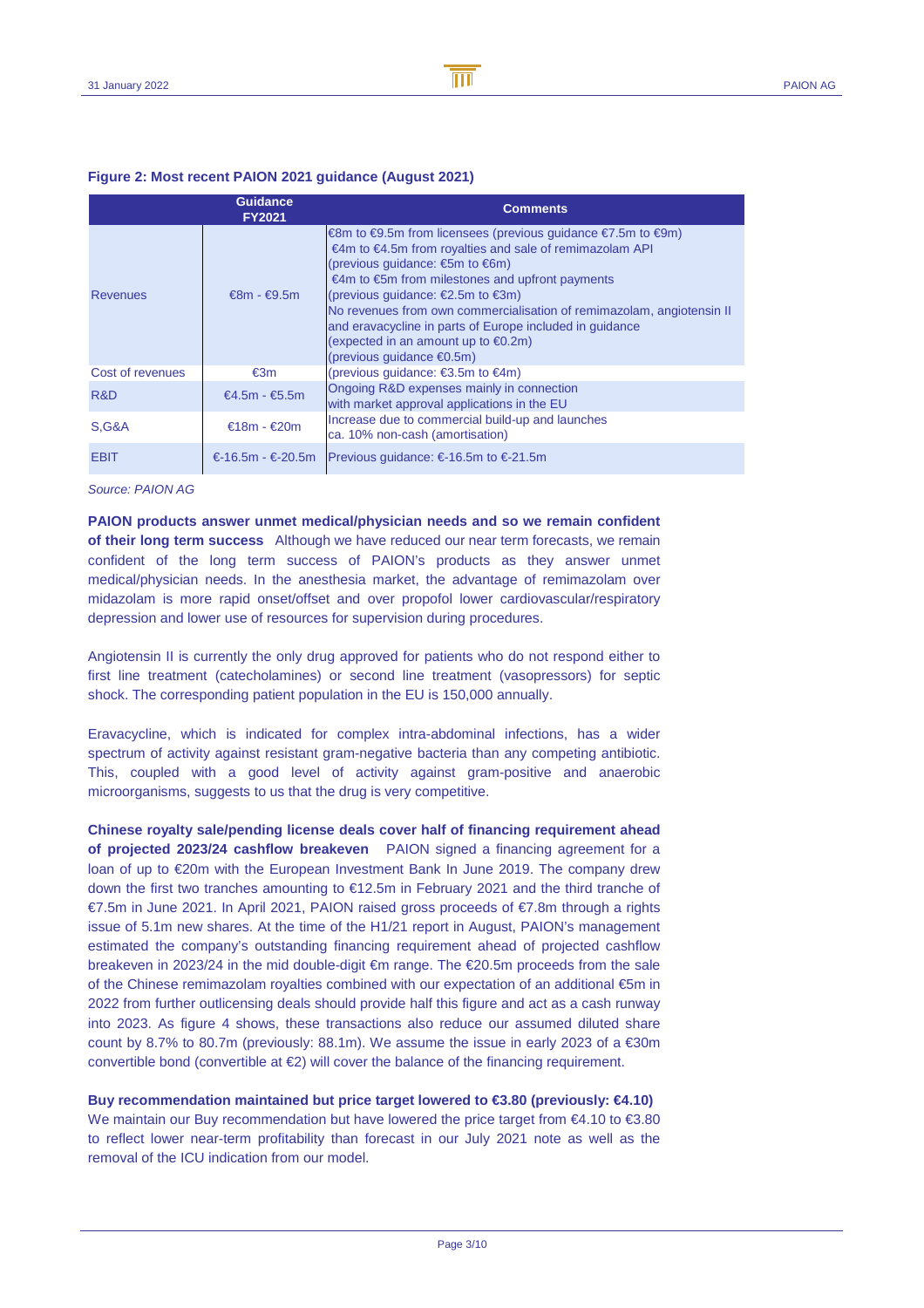## **Figure 2: Most recent PAION 2021 guidance (August 2021)**

|                  | <b>Guidance</b><br><b>FY2021</b> | <b>Comments</b>                                                                                                                                                                                                                                                                                                                                                                                                                                                                                                                |
|------------------|----------------------------------|--------------------------------------------------------------------------------------------------------------------------------------------------------------------------------------------------------------------------------------------------------------------------------------------------------------------------------------------------------------------------------------------------------------------------------------------------------------------------------------------------------------------------------|
| <b>Revenues</b>  | $€8m - €9.5m$                    | €8m to €9.5m from licensees (previous guidance $€7.5m$ to $€9m$ )<br>€4m to $€4.5m$ from royalties and sale of remimazolan API<br>(previous quidance: $\epsilon$ 5m to $\epsilon$ 6m)<br>€4m to €5m from milestones and upfront payments<br>(previous quidance: $\epsilon$ 2.5m to $\epsilon$ 3m)<br>No revenues from own commercialisation of remimazolam, angiotensin II<br>and eravacycline in parts of Europe included in guidance<br>(expected in an amount up to $\epsilon$ 0.2m)<br>(previous guidance $\epsilon$ 0.5m) |
| Cost of revenues | €3m                              | (previous quidance: €3.5m to €4m)                                                                                                                                                                                                                                                                                                                                                                                                                                                                                              |
| R&D              | $€4.5m - €5.5m$                  | Ongoing R&D expenses mainly in connection<br>with market approval applications in the EU                                                                                                                                                                                                                                                                                                                                                                                                                                       |
| <b>S.G&amp;A</b> | €18m - €20m                      | Increase due to commercial build-up and launches<br>ca. 10% non-cash (amortisation)                                                                                                                                                                                                                                                                                                                                                                                                                                            |
| <b>EBIT</b>      |                                  | €-16.5m - €-20.5m   Previous guidance: €-16.5m to €-21.5m                                                                                                                                                                                                                                                                                                                                                                                                                                                                      |

Source: PAION AG

**PAION products answer unmet medical/physician needs and so we remain confident of their long term success** Although we have reduced our near term forecasts, we remain confident of the long term success of PAION's products as they answer unmet medical/physician needs. In the anesthesia market, the advantage of remimazolam over midazolam is more rapid onset/offset and over propofol lower cardiovascular/respiratory depression and lower use of resources for supervision during procedures.

Angiotensin II is currently the only drug approved for patients who do not respond either to first line treatment (catecholamines) or second line treatment (vasopressors) for septic shock. The corresponding patient population in the EU is 150,000 annually.

Eravacycline, which is indicated for complex intra-abdominal infections, has a wider spectrum of activity against resistant gram-negative bacteria than any competing antibiotic. This, coupled with a good level of activity against gram-positive and anaerobic microorganisms, suggests to us that the drug is very competitive.

**Chinese royalty sale/pending license deals cover half of financing requirement ahead of projected 2023/24 cashflow breakeven** PAION signed a financing agreement for a loan of up to €20m with the European Investment Bank In June 2019. The company drew down the first two tranches amounting to €12.5m in February 2021 and the third tranche of €7.5m in June 2021. In April 2021, PAION raised gross proceeds of €7.8m through a rights issue of 5.1m new shares. At the time of the H1/21 report in August, PAION's management estimated the company's outstanding financing requirement ahead of projected cashflow breakeven in 2023/24 in the mid double-digit €m range. The €20.5m proceeds from the sale of the Chinese remimazolam royalties combined with our expectation of an additional €5m in 2022 from further outlicensing deals should provide half this figure and act as a cash runway into 2023. As figure 4 shows, these transactions also reduce our assumed diluted share count by 8.7% to 80.7m (previously: 88.1m). We assume the issue in early 2023 of a  $\epsilon$ 30m convertible bond (convertible at  $\epsilon$ 2) will cover the balance of the financing requirement.

**Buy recommendation maintained but price target lowered to €3.80 (previously: €4.10)**  We maintain our Buy recommendation but have lowered the price target from  $\epsilon$ 4.10 to  $\epsilon$ 3.80 to reflect lower near-term profitability than forecast in our July 2021 note as well as the removal of the ICU indication from our model.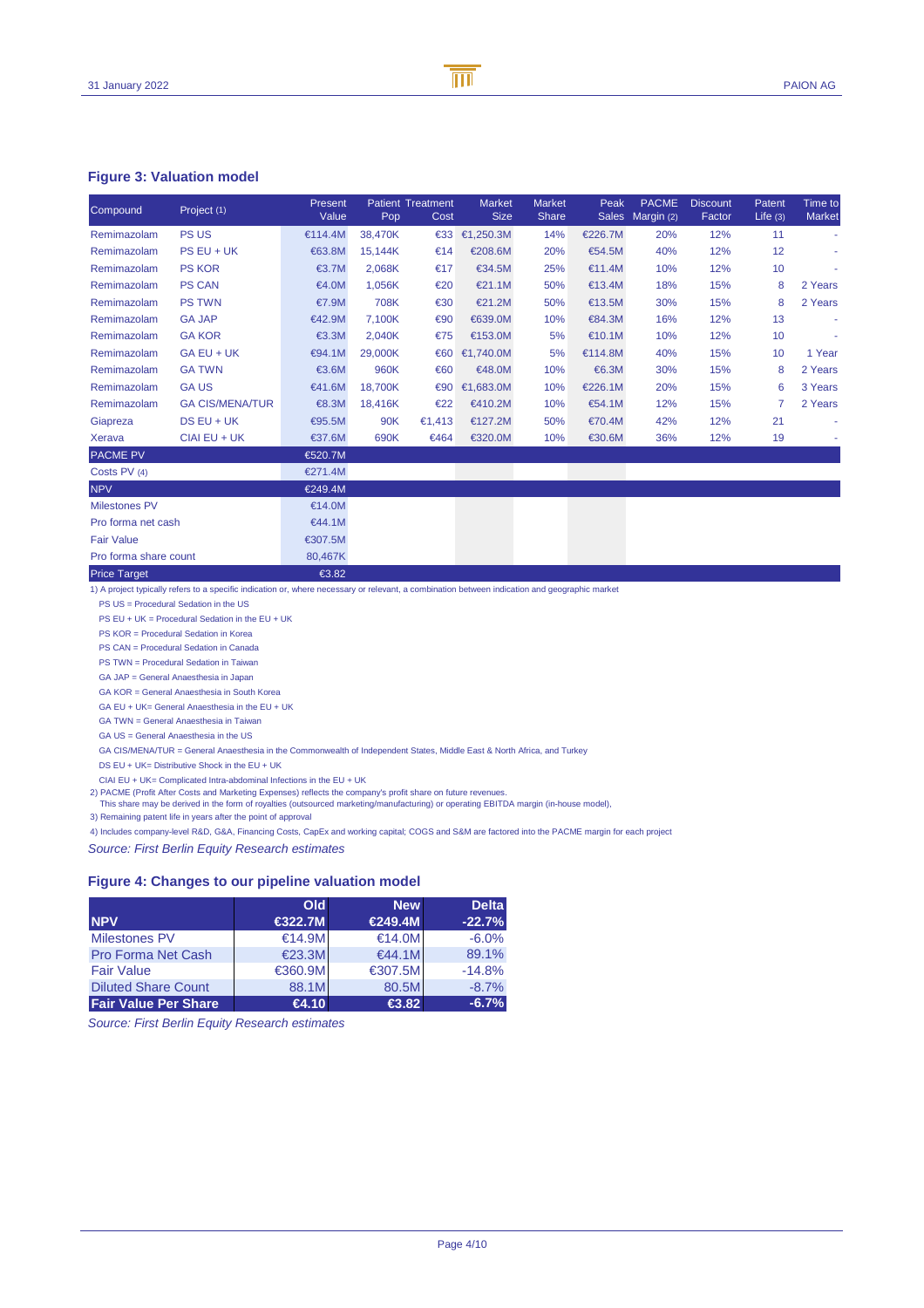## **Figure 3: Valuation model**

| Compound              | Project (1)            | Present<br>Value | Pop.    | <b>Patient Treatment</b><br>Cost | <b>Market</b><br><b>Size</b> | <b>Market</b><br>Share | Peak    | <b>PACME</b><br>Sales Margin (2) | <b>Discount</b><br>Factor | Patent<br>Life $(3)$ | Time to<br><b>Market</b> |
|-----------------------|------------------------|------------------|---------|----------------------------------|------------------------------|------------------------|---------|----------------------------------|---------------------------|----------------------|--------------------------|
| Remimazolam           | <b>PS US</b>           | €114.4M          | 38,470K | $\epsilon$ 33                    | €1,250.3M                    | 14%                    | €226.M  | 20%                              | 12%                       | 11                   | ÷                        |
| Remimazolam           | PS EU + UK             | €63.8M           | 15,144K | €14                              | €208.6M                      | 20%                    | €545M   | 40%                              | 12%                       | 12                   | ٠                        |
| Remimazolam           | <b>PS KOR</b>          | €3.7M            | 2,068K  | €17                              | €34.5M                       | 25%                    | €11.4M  | 10%                              | 12 <sub>o</sub>           | 10                   |                          |
| Remimazolam           | <b>PS CAN</b>          | €4.0M            | 1,056K  | €20                              | €21.1M                       | 50%                    | €13.4M  | 18%                              | 15 <sub>6</sub>           | 8                    | 2 Years                  |
| Remimazolam           | <b>PS TWN</b>          | €7.9M            | 708K    | €30                              | €21.2M                       | 50%                    | €13.5M  | 30%                              | 15%                       | 8                    | 2 Years                  |
| Remimazolam           | <b>GA JAP</b>          | €42.9M           | 7.100K  | €90                              | €639.0M                      | 10%                    | €84.3M  | 16%                              | 12%                       | 13                   | ٠                        |
| Remimazolam           | <b>GA KOR</b>          | €3.3M            | 2,040K  | €75                              | €153.0M                      | 5%                     | €10.1M  | 10%                              | 12 <sub>0</sub>           | 10                   |                          |
| Remimazolam           | $GA EU + UK$           | €94.1M           | 29,000K |                                  | €60 €1,740.0M                | 5%                     | €14.8M  | 40%                              | 15%                       | 10                   | 1 Year                   |
| Remimazolam           | <b>GA TWN</b>          | €3.6M            | 960K    | €60                              | €48.0M                       | 10%                    | €6.3M   | 30%                              | 15%                       | 8                    | 2Years                   |
| Remimazolam           | <b>GAUS</b>            | €41.6M           | 18.700K | €90                              | €1,683.0M                    | 10%                    | €226.1M | 20%                              | 15%                       | 6                    | 3 Years                  |
| Remimazolam           | <b>GA CIS/MENA/TUR</b> | €8.3M            | 18,416K | €22                              | €410.2M                      | 10%                    | €54.1M  | 12%                              | 15%                       |                      | 2 Years                  |
| Giapreza              | $DS EU + UK$           | €95.5M           | 90K     | €1,413                           | €127.2M                      | 50%                    | €70.4M  | 42 <sub>0</sub>                  | 12%                       | 21                   |                          |
| Xerava                | $CIAI$ EU + UK         | €37.6M           | 690K    | €464                             | €320.0M                      | 10%                    | €30.6M  | 36%                              | 12%                       | 19                   |                          |
| <b>PACME PV</b>       |                        | €520.7M          |         |                                  |                              |                        |         |                                  |                           |                      |                          |
| Costs PV (4)          |                        | €271.4M          |         |                                  |                              |                        |         |                                  |                           |                      |                          |
| <b>NPV</b>            |                        | €249.4M          |         |                                  |                              |                        |         |                                  |                           |                      |                          |
| <b>Milestones PV</b>  |                        | €14.0M           |         |                                  |                              |                        |         |                                  |                           |                      |                          |
| Pro forma net cash    |                        | €44.1M           |         |                                  |                              |                        |         |                                  |                           |                      |                          |
| <b>Fair Value</b>     |                        | €307.5M          |         |                                  |                              |                        |         |                                  |                           |                      |                          |
| Pro forma share count |                        | 80,467K          |         |                                  |                              |                        |         |                                  |                           |                      |                          |
| <b>Price Target</b>   |                        | €3.82            |         |                                  |                              |                        |         |                                  |                           |                      |                          |

1) A project typically refers to a specific indication or, where necessary or relevant, a combination between indication and geographic market

PS US = Procedural Sedation in the US

PS EU + UK = Procedural Sedation in the EU + UK

PS KOR = Procedural Sedation in Korea

PS CAN = Procedural Sedation in Canada

PS TWN = Procedural Sedation in Taiwan

GA JAP = General Anaesthesia in Japan

GA KOR = General Anaesthesia in South Korea

GA EU + UK= General Anaesthesia in the EU + UK

GA TWN = General Anaesthesia in Taiwan

GA US = General Anaesthesia in the US

GA CIS/MENA/TUR = General Anaesthesia in the Commonwealth of Independent States, Middle East & North Africa, and Turkey

DS EU + UK= Distributive Shock in the EU + UK

CIAI EU + UK= Complicated Intra-abdominal Infections in the EU + UK

2) PACME (Profit After Costs and Marketing Expenses) reflects the company's profit share on future revenues.

This share may be derived in the form of royalties (outsourced marketing/manufacturing) or operating EBITDA margin (in-house model),

3) Remaining patent life in years after the point of approval

4) Includes company-level R&D, G&A, Financing Costs, CapEx and working capital; COGS and S&M are factored into the PACME margin for each project

Source: First Berlin Equity Research estimates

## **Figure 4: Changes to our pipeline valuation model**

|                             | <b>Old</b> | <b>New</b> | <b>Delta</b> |
|-----------------------------|------------|------------|--------------|
| <b>NPV</b>                  | €322.7M    | €249.4M    | $-22.7%$     |
| <b>Milestones PV</b>        | €14.9M     | €14.0M     | $-6.0%$      |
| <b>Pro Forma Net Cash</b>   | €23.3M     | €44.1M     | 89.1%        |
| <b>Fair Value</b>           | €360.9M    | €307.5M    | $-14.8%$     |
| <b>Diluted Share Count</b>  | 88.1M      | 80.5M      | $-8.7%$      |
| <b>Fair Value Per Share</b> | €4.10      | €3.82      | $-6.7%$      |

Source: First Berlin Equity Research estimates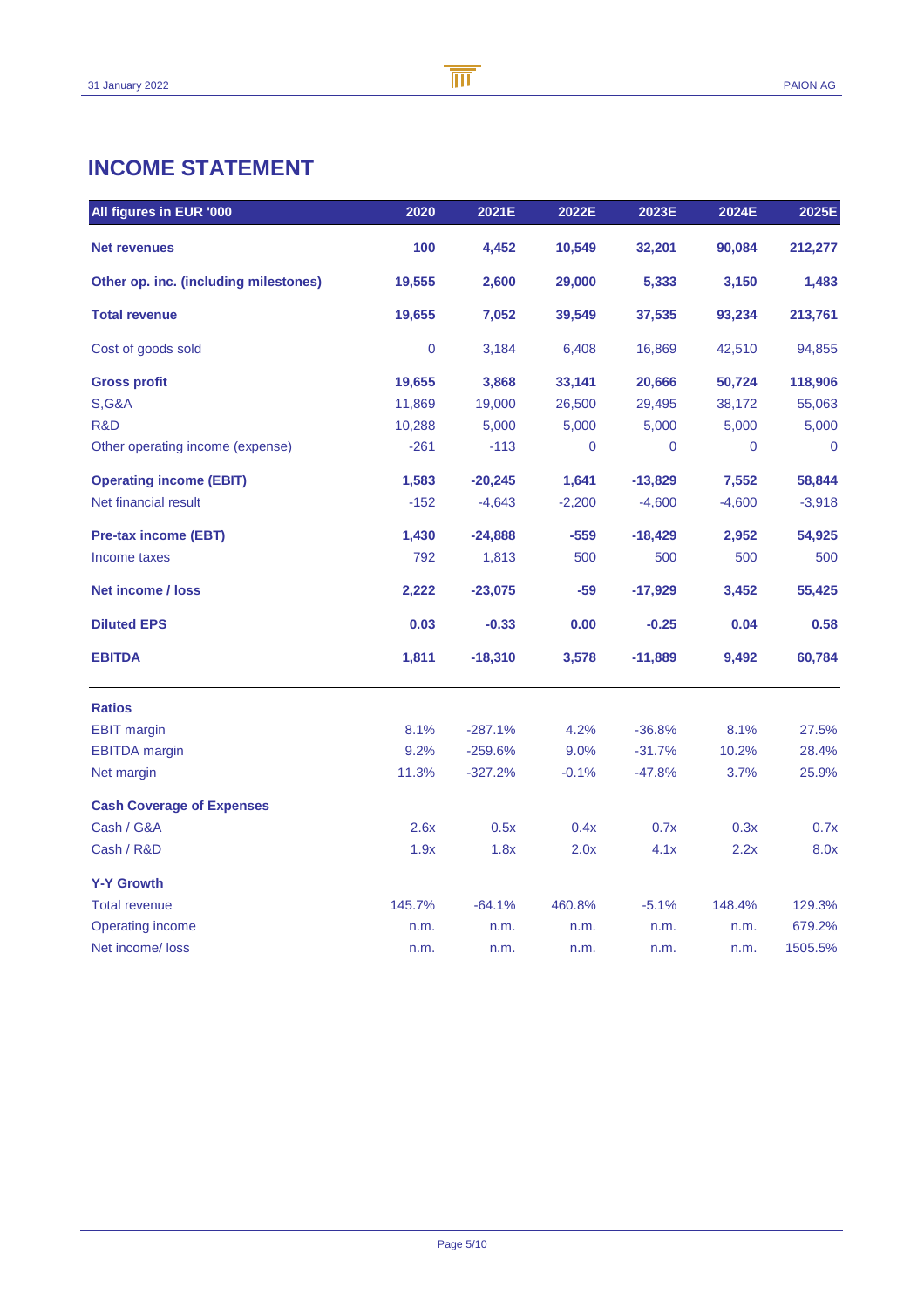## **INCOME STATEMENT**

| All figures in EUR '000               | 2020      | 2021E     | 2022E    | 2023E     | 2024E    | 2025E       |
|---------------------------------------|-----------|-----------|----------|-----------|----------|-------------|
| <b>Net revenues</b>                   | 100       | 4,452     | 10,549   | 32,201    | 90,084   | 212,277     |
| Other op. inc. (including milestones) | 19,555    | 2,600     | 29,000   | 5,333     | 3,150    | 1,483       |
| <b>Total revenue</b>                  | 19,655    | 7,052     | 39,549   | 37,535    | 93,234   | 213,761     |
| Cost of goods sold                    | $\pmb{0}$ | 3,184     | 6,408    | 16,869    | 42,510   | 94,855      |
| <b>Gross profit</b>                   | 19,655    | 3,868     | 33,141   | 20,666    | 50,724   | 118,906     |
| <b>S,G&amp;A</b>                      | 11,869    | 19,000    | 26,500   | 29,495    | 38,172   | 55,063      |
| R&D                                   | 10,288    | 5,000     | 5,000    | 5,000     | 5,000    | 5,000       |
| Other operating income (expense)      | $-261$    | $-113$    | 0        | 0         | 0        | $\mathbf 0$ |
| <b>Operating income (EBIT)</b>        | 1,583     | $-20,245$ | 1,641    | $-13,829$ | 7,552    | 58,844      |
| Net financial result                  | $-152$    | $-4,643$  | $-2,200$ | $-4,600$  | $-4,600$ | $-3,918$    |
| <b>Pre-tax income (EBT)</b>           | 1,430     | $-24,888$ | $-559$   | $-18,429$ | 2,952    | 54,925      |
| Income taxes                          | 792       | 1,813     | 500      | 500       | 500      | 500         |
| <b>Net income / loss</b>              | 2,222     | $-23,075$ | $-59$    | $-17,929$ | 3,452    | 55,425      |
| <b>Diluted EPS</b>                    | 0.03      | $-0.33$   | 0.00     | $-0.25$   | 0.04     | 0.58        |
| <b>EBITDA</b>                         | 1,811     | $-18,310$ | 3,578    | $-11,889$ | 9,492    | 60,784      |
| <b>Ratios</b>                         |           |           |          |           |          |             |
| <b>EBIT margin</b>                    | 8.1%      | $-287.1%$ | 4.2%     | $-36.8%$  | 8.1%     | 27.5%       |
| <b>EBITDA</b> margin                  | 9.2%      | $-259.6%$ | 9.0%     | $-31.7%$  | 10.2%    | 28.4%       |
| Net margin                            | 11.3%     | $-327.2%$ | $-0.1%$  | $-47.8%$  | 3.7%     | 25.9%       |
| <b>Cash Coverage of Expenses</b>      |           |           |          |           |          |             |
| Cash / G&A                            | 2.6x      | 0.5x      | 0.4x     | 0.7x      | 0.3x     | 0.7x        |
| Cash / R&D                            | 1.9x      | 1.8x      | 2.0x     | 4.1x      | 2.2x     | 8.0x        |
| <b>Y-Y Growth</b>                     |           |           |          |           |          |             |
| <b>Total revenue</b>                  | 145.7%    | $-64.1%$  | 460.8%   | $-5.1%$   | 148.4%   | 129.3%      |
| Operating income                      | n.m.      | n.m.      | n.m.     | n.m.      | n.m.     | 679.2%      |
| Net income/loss                       | n.m.      | n.m.      | n.m.     | n.m.      | n.m.     | 1505.5%     |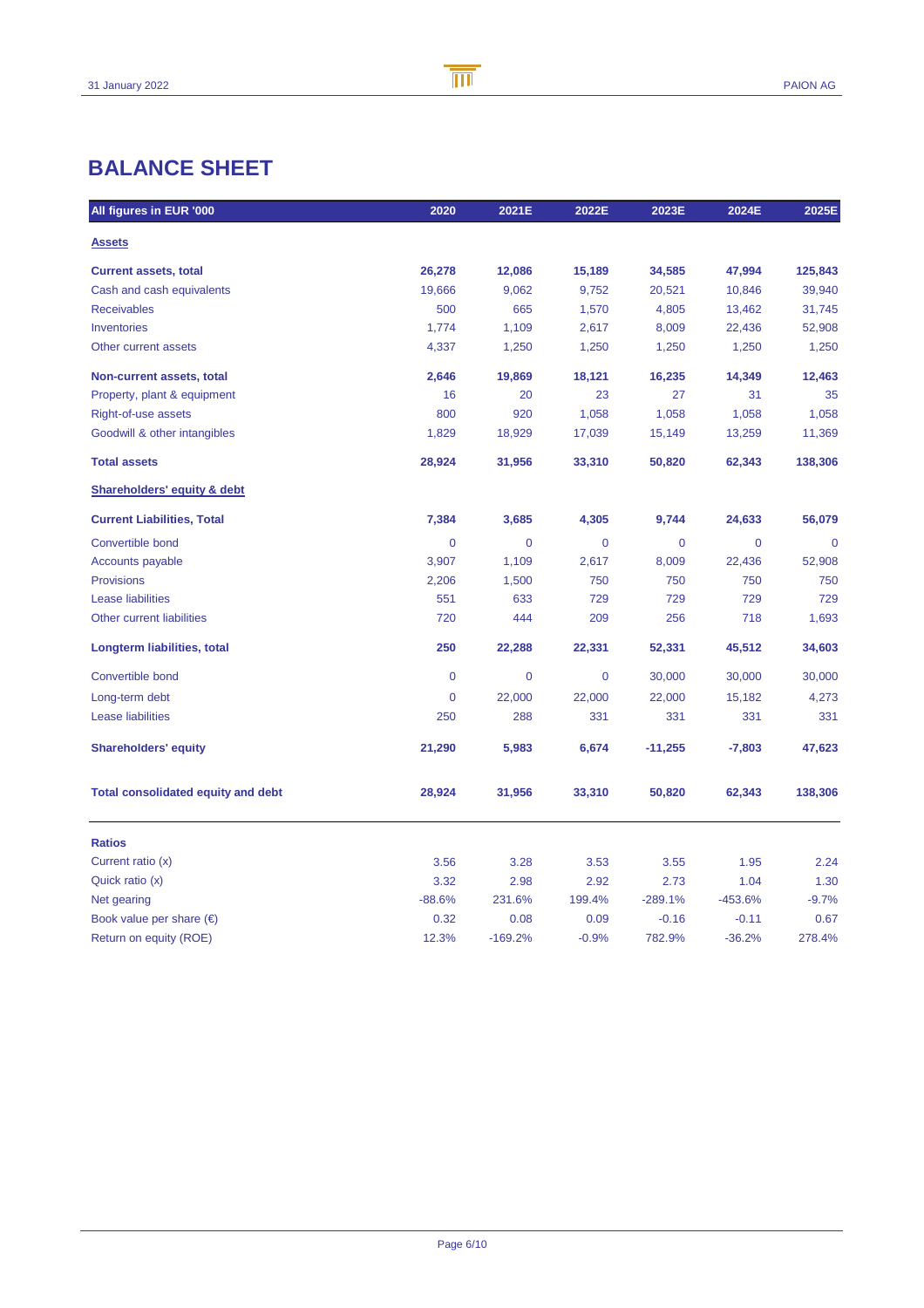## **BALANCE SHEET**

| All figures in EUR '000                   | 2020           | 2021E          | 2022E          | 2023E          | 2024E       | 2025E       |
|-------------------------------------------|----------------|----------------|----------------|----------------|-------------|-------------|
| <b>Assets</b>                             |                |                |                |                |             |             |
| <b>Current assets, total</b>              | 26,278         | 12,086         | 15,189         | 34,585         | 47,994      | 125,843     |
| Cash and cash equivalents                 | 19,666         | 9,062          | 9,752          | 20,521         | 10,846      | 39,940      |
| <b>Receivables</b>                        | 500            | 665            | 1,570          | 4,805          | 13,462      | 31,745      |
| Inventories                               | 1,774          | 1,109          | 2,617          | 8,009          | 22,436      | 52,908      |
| Other current assets                      | 4,337          | 1,250          | 1,250          | 1,250          | 1,250       | 1,250       |
| Non-current assets, total                 | 2,646          | 19,869         | 18,121         | 16,235         | 14,349      | 12,463      |
| Property, plant & equipment               | 16             | 20             | 23             | 27             | 31          | 35          |
| Right-of-use assets                       | 800            | 920            | 1,058          | 1,058          | 1,058       | 1,058       |
| Goodwill & other intangibles              | 1,829          | 18,929         | 17,039         | 15,149         | 13,259      | 11,369      |
| <b>Total assets</b>                       | 28,924         | 31,956         | 33,310         | 50,820         | 62,343      | 138,306     |
| <b>Shareholders' equity &amp; debt</b>    |                |                |                |                |             |             |
| <b>Current Liabilities, Total</b>         | 7,384          | 3,685          | 4,305          | 9,744          | 24,633      | 56,079      |
| Convertible bond                          | $\overline{0}$ | $\overline{0}$ | $\overline{0}$ | $\overline{0}$ | $\mathbf 0$ | $\mathbf 0$ |
| Accounts payable                          | 3,907          | 1,109          | 2,617          | 8,009          | 22,436      | 52,908      |
| <b>Provisions</b>                         | 2,206          | 1,500          | 750            | 750            | 750         | 750         |
| <b>Lease liabilities</b>                  | 551            | 633            | 729            | 729            | 729         | 729         |
| <b>Other current liabilities</b>          | 720            | 444            | 209            | 256            | 718         | 1,693       |
| Longterm liabilities, total               | 250            | 22,288         | 22,331         | 52,331         | 45,512      | 34,603      |
| Convertible bond                          | 0              | $\mathbf 0$    | $\mathbf 0$    | 30,000         | 30,000      | 30,000      |
| Long-term debt                            | 0              | 22,000         | 22,000         | 22,000         | 15,182      | 4,273       |
| <b>Lease liabilities</b>                  | 250            | 288            | 331            | 331            | 331         | 331         |
| <b>Shareholders' equity</b>               | 21,290         | 5,983          | 6,674          | $-11,255$      | $-7,803$    | 47,623      |
| <b>Total consolidated equity and debt</b> | 28,924         | 31,956         | 33,310         | 50,820         | 62,343      | 138,306     |
| <b>Ratios</b>                             |                |                |                |                |             |             |
| Current ratio (x)                         | 3.56           | 3.28           | 3.53           | 3.55           | 1.95        | 2.24        |
| Quick ratio (x)                           | 3.32           | 2.98           | 2.92           | 2.73           | 1.04        | 1.30        |
| Net gearing                               | $-88.6%$       | 231.6%         | 199.4%         | $-289.1%$      | $-453.6%$   | $-9.7%$     |
| Book value per share $(\epsilon)$         | 0.32           | 0.08           | 0.09           | $-0.16$        | $-0.11$     | 0.67        |
| Return on equity (ROE)                    | 12.3%          | $-169.2%$      | $-0.9%$        | 782.9%         | $-36.2%$    | 278.4%      |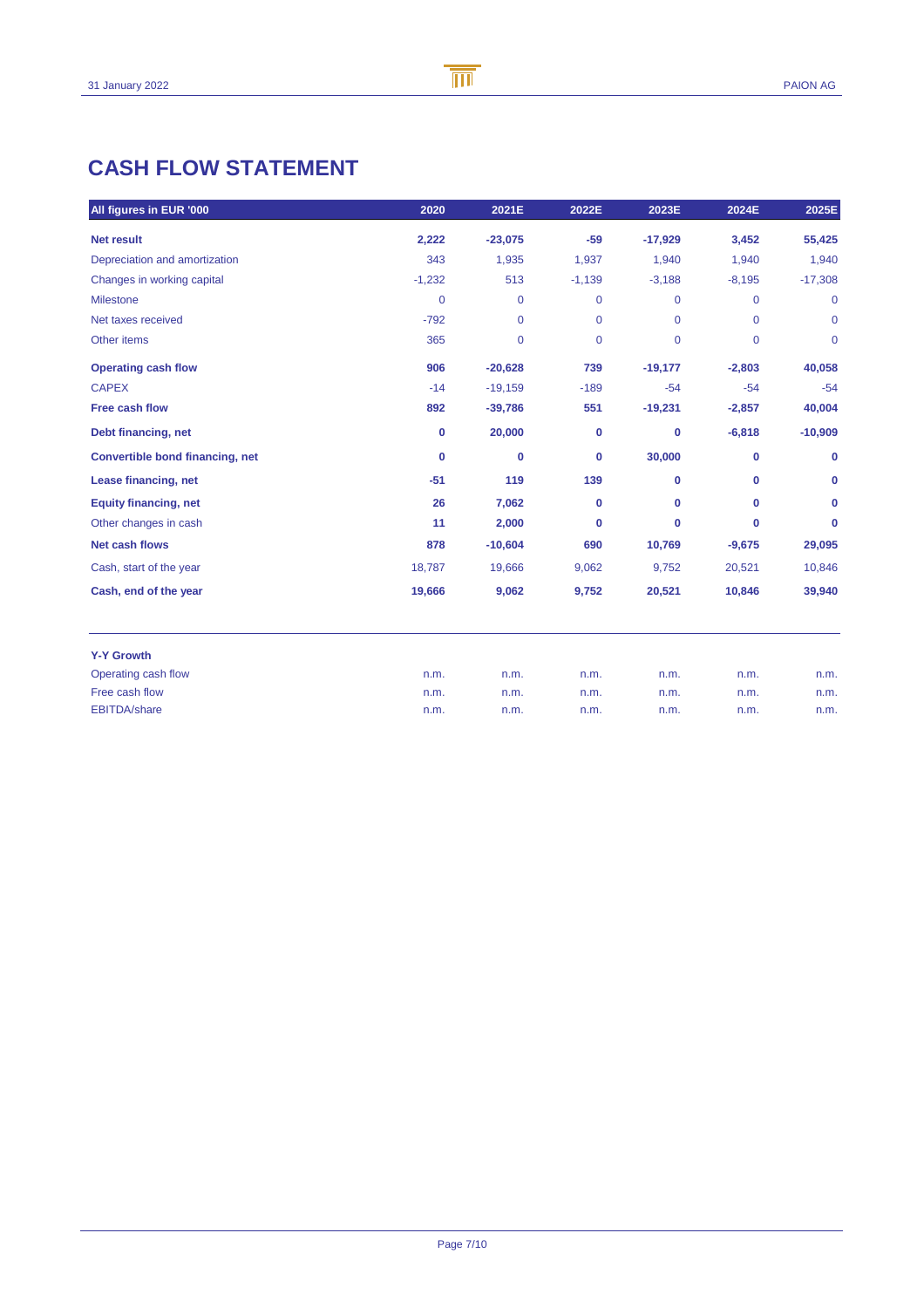## **CASH FLOW STATEMENT**

| All figures in EUR '000         | 2020         | 2021E        | 2022E          | 2023E        | 2024E          | 2025E        |
|---------------------------------|--------------|--------------|----------------|--------------|----------------|--------------|
| <b>Net result</b>               | 2,222        | $-23,075$    | $-59$          | $-17,929$    | 3,452          | 55,425       |
| Depreciation and amortization   | 343          | 1,935        | 1,937          | 1,940        | 1,940          | 1,940        |
| Changes in working capital      | $-1,232$     | 513          | $-1,139$       | $-3,188$     | $-8,195$       | $-17,308$    |
| <b>Milestone</b>                | $\mathbf{0}$ | $\mathbf 0$  | $\mathbf{0}$   | $\mathbf{0}$ | $\mathbf{0}$   | $\mathbf{0}$ |
| Net taxes received              | $-792$       | $\mathbf{0}$ | $\mathbf 0$    | $\mathbf{0}$ | $\mathbf{0}$   | $\mathbf 0$  |
| Other items                     | 365          | $\mathbf 0$  | $\overline{0}$ | $\mathbf{0}$ | $\overline{0}$ | $\mathbf 0$  |
| <b>Operating cash flow</b>      | 906          | $-20,628$    | 739            | $-19,177$    | $-2,803$       | 40,058       |
| <b>CAPEX</b>                    | $-14$        | $-19,159$    | $-189$         | $-54$        | $-54$          | $-54$        |
| Free cash flow                  | 892          | $-39,786$    | 551            | $-19,231$    | $-2,857$       | 40,004       |
| Debt financing, net             | $\mathbf 0$  | 20,000       | 0              | 0            | $-6,818$       | $-10,909$    |
| Convertible bond financing, net | $\mathbf 0$  | $\bf{0}$     | $\bf{0}$       | 30,000       | $\bf{0}$       | $\bf{0}$     |
| Lease financing, net            | $-51$        | 119          | 139            | $\bf{0}$     | $\bf{0}$       | 0            |
| <b>Equity financing, net</b>    | 26           | 7,062        | $\bf{0}$       | $\bf{0}$     | $\bf{0}$       | 0            |
| Other changes in cash           | 11           | 2,000        | $\bf{0}$       | $\bf{0}$     | 0              | $\bf{0}$     |
| <b>Net cash flows</b>           | 878          | $-10,604$    | 690            | 10,769       | $-9,675$       | 29,095       |
| Cash, start of the year         | 18,787       | 19,666       | 9,062          | 9,752        | 20,521         | 10,846       |
| Cash, end of the year           | 19,666       | 9,062        | 9,752          | 20,521       | 10,846         | 39,940       |
| <b>Y-Y Growth</b>               |              |              |                |              |                |              |
| Operating cash flow             | n.m.         | n.m.         | n.m.           | n.m.         | n.m.           | n.m.         |
| Free cash flow                  | n.m.         | n.m.         | n.m.           | n.m.         | n.m.           | n.m.         |
| <b>EBITDA/share</b>             | n.m.         | n.m.         | n.m.           | n.m.         | n.m.           | n.m.         |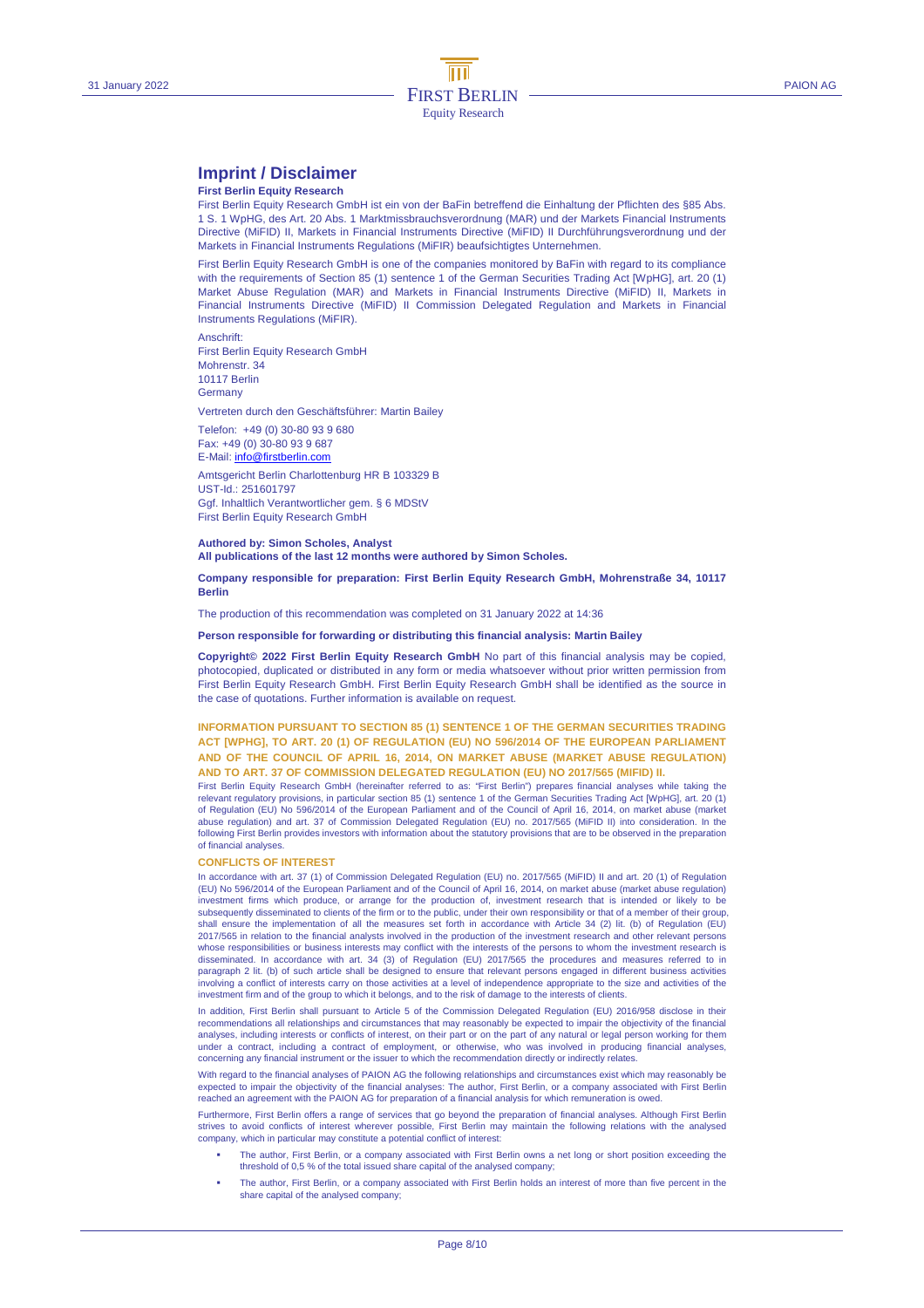## **Imprint / Disclaimer**

#### **First Berlin Equity Research**

First Berlin Equity Research GmbH ist ein von der BaFin betreffend die Einhaltung der Pflichten des §85 Abs. 1 S. 1 WpHG, des Art. 20 Abs. 1 Marktmissbrauchsverordnung (MAR) und der Markets Financial Instruments Directive (MiFID) II, Markets in Financial Instruments Directive (MiFID) II Durchführungsverordnung und der Markets in Financial Instruments Regulations (MiFIR) beaufsichtigtes Unternehmen.

First Berlin Equity Research GmbH is one of the companies monitored by BaFin with regard to its compliance with the requirements of Section 85 (1) sentence 1 of the German Securities Trading Act [WpHG], art. 20 (1) Market Abuse Regulation (MAR) and Markets in Financial Instruments Directive (MiFID) II, Markets in Financial Instruments Directive (MiFID) II Commission Delegated Regulation and Markets in Financial Instruments Regulations (MiFIR).

Anschrift: First Berlin Equity Research GmbH Mohrenstr. 34 10117 Berlin **Germany** 

Vertreten durch den Geschäftsführer: Martin Bailey

Telefon: +49 (0) 30-80 93 9 680 Fax: +49 (0) 30-80 93 9 687 E-Mail: info@firstberlin.com

Amtsgericht Berlin Charlottenburg HR B 103329 B UST-Id.: 251601797 Ggf. Inhaltlich Verantwortlicher gem. § 6 MDStV First Berlin Equity Research GmbH

#### **Authored by: Simon Scholes, Analyst All publications of the last 12 months were authored by Simon Scholes.**

#### **Company responsible for preparation: First Berlin Equity Research GmbH, Mohrenstraße 34, 10117 Berlin**

The production of this recommendation was completed on 31 January 2022 at 14:36

#### **Person responsible for forwarding or distributing this financial analysis: Martin Bailey**

**Copyright© 2022 First Berlin Equity Research GmbH** No part of this financial analysis may be copied, photocopied, duplicated or distributed in any form or media whatsoever without prior written permission from First Berlin Equity Research GmbH. First Berlin Equity Research GmbH shall be identified as the source in the case of quotations. Further information is available on request.

#### **INFORMATION PURSUANT TO SECTION 85 (1) SENTENCE 1 OF THE GERMAN SECURITIES TRADING ACT [WPHG], TO ART. 20 (1) OF REGULATION (EU) NO 596/2014 OF THE EUROPEAN PARLIAMENT AND OF THE COUNCIL OF APRIL 16, 2014, ON MARKET ABUSE (MARKET ABUSE REGULATION) AND TO ART. 37 OF COMMISSION DELEGATED REGULATION (EU) NO 2017/565 (MIFID) II.**

First Berlin Equity Research GmbH (hereinafter referred to as: "First Berlin") prepares financial analyses while taking the relevant regulatory provisions, in particular section 85 (1) sentence 1 of the German Securities Trading Act [WpHG], art. 20 (1) of Regulation (EU) No 596/2014 of the European Parliament and of the Council of April 16, 2014, on market abuse (market abuse regulation) and art. 37 of Commission Delegated Regulation (EU) no. 2017/565 (MiFID II) into consideration. In the following First Berlin provides investors with information about the statutory provisions that are to be observed in the preparation of financial analyses.

#### **CONFLICTS OF INTEREST**

In accordance with art. 37 (1) of Commission Delegated Regulation (EU) no. 2017/565 (MiFID) II and art. 20 (1) of Regulation (EU) No 596/2014 of the European Parliament and of the Council of April 16, 2014, on market abuse (market abuse regulation) investment firms which produce, or arrange for the production of, investment research that is intended or likely to be<br>subsequently disseminated to clients of the firm or to the public, under their own responsibility or th shall ensure the implementation of all the measures set forth in accordance with Article 34 (2) lit. (b) of Regulation (EU) 2017/565 in relation to the financial analysts involved in the production of the investment research and other relevant persons whose responsibilities or business interests may conflict with the interests of the persons to whom the investment research is disseminated. In accordance with art. 34 (3) of Regulation (EU) 2017/565 the procedures and measures referred to in paragraph 2 lit. (b) of such article shall be designed to ensure that relevant persons engaged in different business activities involving a conflict of interests carry on those activities at a level of independence appropriate to the size and activities of the investment firm and of the group to which it belongs, and to the risk of damage to the interests of clients.

In addition, First Berlin shall pursuant to Article 5 of the Commission Delegated Regulation (EU) 2016/958 disclose in their recommendations all relationships and circumstances that may reasonably be expected to impair the objectivity of the financial<br>analyses, including interests or conflicts of interest, on their part or on the part of any nat under a contract, including a contract of employment, or otherwise, who was involved in producing financial analyses, concerning any financial instrument or the issuer to which the recommendation directly or indirectly relates.

With regard to the financial analyses of PAION AG the following relationships and circumstances exist which may reasonably be<br>expected to impair the objectivity of the financial analyses: The author, First Berlin, or a com reached an agreement with the PAION AG for preparation of a financial analysis for which remuneration is owed.

Furthermore, First Berlin offers a range of services that go beyond the preparation of financial analyses. Although First Berlin strives to avoid conflicts of interest wherever possible, First Berlin may maintain the following relations with the analysed company, which in particular may constitute a potential conflict of interest:

- The author, First Berlin, or a company associated with First Berlin owns a net long or short position exceeding the threshold of 0,5 % of the total issued share capital of the analysed company;
- The author, First Berlin, or a company associated with First Berlin holds an interest of more than five percent in the share capital of the analysed company;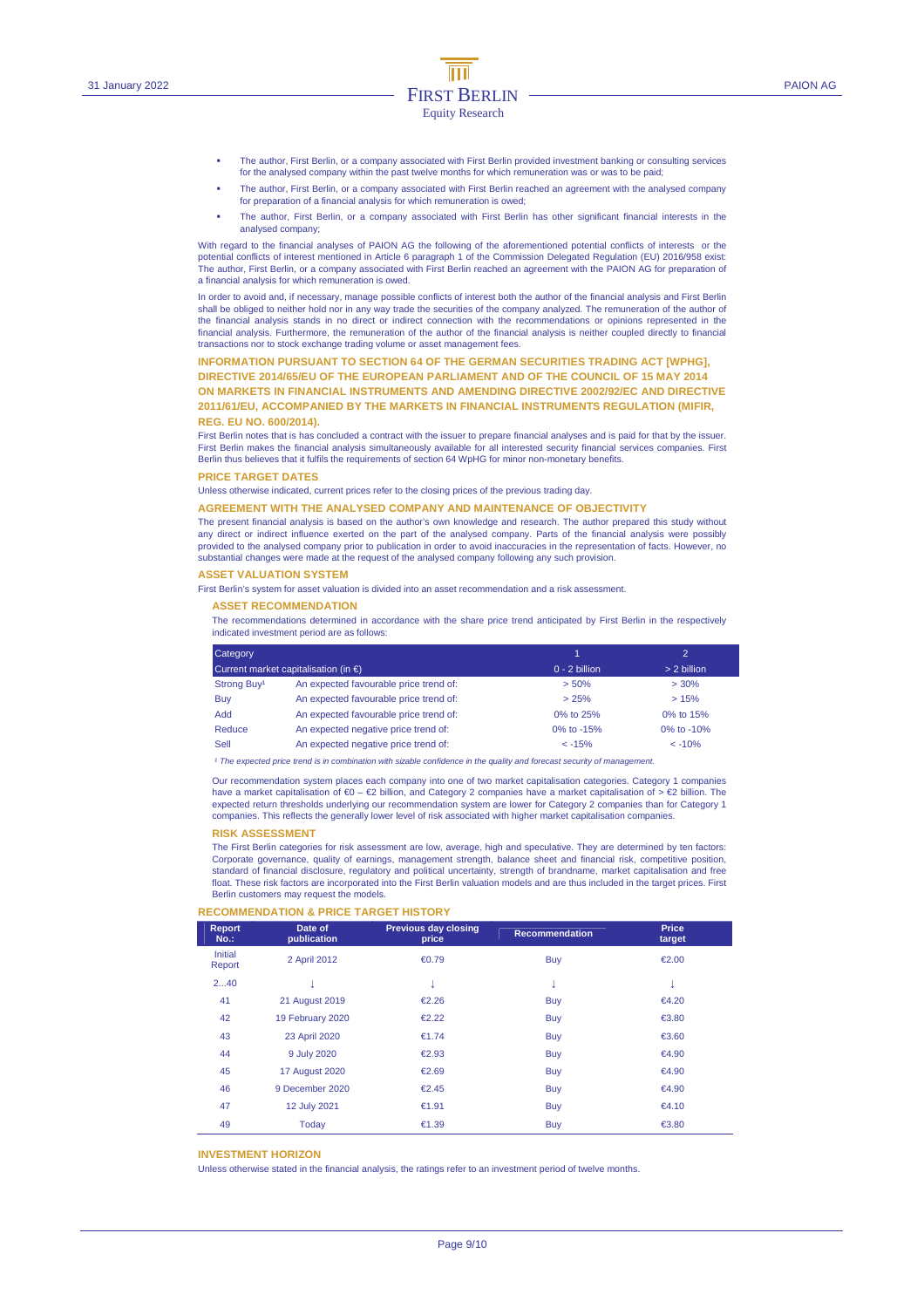- The author, First Berlin, or a company associated with First Berlin provided investment banking or consulting services for the analysed company within the past twelve months for which remuneration was or was to be paid;
- The author, First Berlin, or a company associated with First Berlin reached an agreement with the analysed company for preparation of a financial analysis for which remuneration is owed;
- The author, First Berlin, or a company associated with First Berlin has other significant financial interests in the analysed company;

With regard to the financial analyses of PAION AG the following of the aforementioned potential conflicts of interests or the potential conflicts of interest mentioned in Article 6 paragraph 1 of the Commission Delegated Regulation (EU) 2016/958 exist: The author, First Berlin, or a company associated with First Berlin reached an agreement with the PAION AG for preparation of a financial analysis for which remuneration is owed.

In order to avoid and, if necessary, manage possible conflicts of interest both the author of the financial analysis and First Berlin shall be obliged to neither hold nor in any way trade the securities of the company analyzed. The remuneration of the author of the financial analysis stands in no direct or indirect connection with the recommendations or opinions represented in the financial analysis. Furthermore, the remuneration of the author of the financial analysis is neither coupled directly to financial transactions nor to stock exchange trading volume or asset management fees.

#### **INFORMATION PURSUANT TO SECTION 64 OF THE GERMAN SECURITIES TRADING ACT [WPHG],**

**DIRECTIVE 2014/65/EU OF THE EUROPEAN PARLIAMENT AND OF THE COUNCIL OF 15 MAY 2014 ON MARKETS IN FINANCIAL INSTRUMENTS AND AMENDING DIRECTIVE 2002/92/EC AND DIRECTIVE 2011/61/EU, ACCOMPANIED BY THE MARKETS IN FINANCIAL INSTRUMENTS REGULATION (MIFIR, REG. EU NO. 600/2014).** 

First Berlin notes that is has concluded a contract with the issuer to prepare financial analyses and is paid for that by the issuer. First Berlin makes the financial analysis simultaneously available for all interested security financial services companies. First Berlin thus believes that it fulfils the requirements of section 64 WpHG for minor non-monetary benefits.

#### **PRICE TARGET DATES**

Unless otherwise indicated, current prices refer to the closing prices of the previous trading day.

#### **AGREEMENT WITH THE ANALYSED COMPANY AND MAINTENANCE OF OBJECTIVITY**

The present financial analysis is based on the author's own knowledge and research. The author prepared this study without any direct or indirect influence exerted on the part of the analysed company. Parts of the financial analysis were possibly provided to the analysed company prior to publication in order to avoid inaccuracies in the representation of facts. However, no substantial changes were made at the request of the analysed company following any such provision.

#### **ASSET VALUATION SYSTEM**

First Berlin's system for asset valuation is divided into an asset recommendation and a risk assessment.

#### **ASSET RECOMMENDATION**

The recommendations determined in accordance with the share price trend anticipated by First Berlin in the respectively indicated investment period are as follows:

| Category                |                                                |                 | $\mathcal{D}$ |
|-------------------------|------------------------------------------------|-----------------|---------------|
|                         | Current market capitalisation (in $\epsilon$ ) | $0 - 2$ billion | > 2 billion   |
| Strong Buy <sup>1</sup> | An expected favourable price trend of:         | > 50%           | $> 30\%$      |
| Buy                     | An expected favourable price trend of:         | > 25%           | >15%          |
| <b>Add</b>              | An expected favourable price trend of:         | 0% to 25%       | 0% to 15%     |
| Reduce                  | An expected negative price trend of:           | 0% to -15%      | 0% to $-10%$  |
| Sell                    | An expected negative price trend of:           | $< -15%$        | $< -10%$      |

<sup>1</sup> The expected price trend is in combination with sizable confidence in the quality and forecast security of managen

Our recommendation system places each company into one of two market capitalisation categories. Category 1 companies have a market capitalisation of €0 – €2 billion, and Category 2 companies have a market capitalisation of > €2 billion. The expected return thresholds underlying our recommendation system are lower for Category 2 companies than for Category 1 companies. This reflects the generally lower level of risk associated with higher market capitalisation companies.

#### **RISK ASSESSMENT**

The First Berlin categories for risk assessment are low, average, high and speculative. They are determined by ten factors: Corporate governance, quality of earnings, management strength, balance sheet and financial risk, competitive position, standard of financial disclosure, regulatory and political uncertainty, strength of brandname, market capitalisation and free float. These risk factors are incorporated into the First Berlin valuation models and are thus included in the target prices. First Berlin customers may request the models.

#### **RECOMMENDATION & PRICE TARGET HISTORY**

| <b>Report</b><br>$No.$ : | Date of<br>publication | <b>Previous day closing</b><br>price | <b>Recommendation</b> | Price<br>target |  |
|--------------------------|------------------------|--------------------------------------|-----------------------|-----------------|--|
| Initial<br>Report        | 2 April 2012           | € $0.79$                             | <b>Buy</b>            | €2.00           |  |
| 240                      |                        | v                                    | ÷                     | v               |  |
| 41                       | 21 August 2019         | €2.26                                | <b>Buy</b>            | €4.20           |  |
| 42                       | 19 February 2020       | €2.22                                | <b>Buy</b>            | €3.80           |  |
| 43                       | 23 April 2020          | €1.74                                | <b>Buy</b>            | €3.60           |  |
| 44                       | 9 July 2020            | €2.93                                | <b>Buy</b>            | €4.90           |  |
| 45                       | <b>17 August 2020</b>  | €2.69                                | <b>Buy</b>            | €4.90           |  |
| 46                       | 9 December 2020        | €2.45                                | <b>Buy</b>            | €4.90           |  |
| 47                       | 12 July 2021           | €1.91                                | <b>Buy</b>            | €4.10           |  |
| 49                       | Today                  | €1.39                                | <b>Buy</b>            | €3.80           |  |

#### **INVESTMENT HORIZON**

Unless otherwise stated in the financial analysis, the ratings refer to an investment period of twelve months.